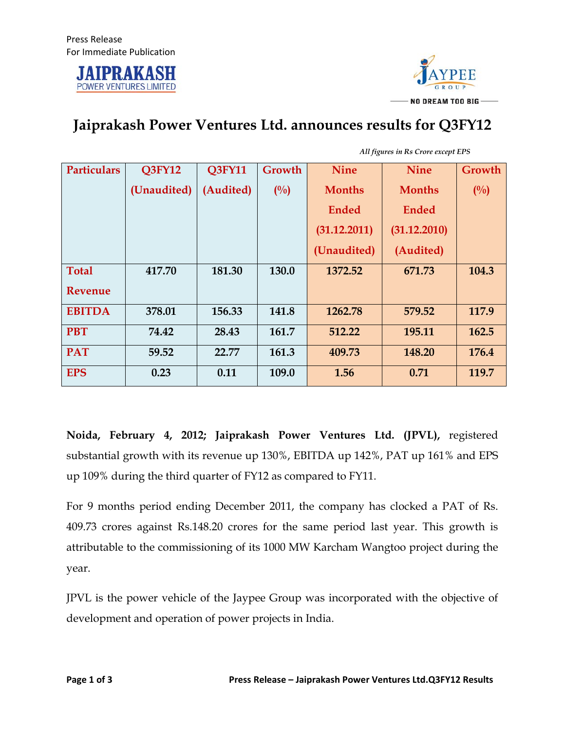



## **Jaiprakash Power Ventures Ltd. announces results for Q3FY12**

| <b>Particulars</b> | <b>Q3FY12</b> | <b>Q3FY11</b> | Growth | <b>Nine</b>   | <b>Nine</b>   | Growth         |
|--------------------|---------------|---------------|--------|---------------|---------------|----------------|
|                    | (Unaudited)   | (Audited)     | $($ %) | <b>Months</b> | <b>Months</b> | $\binom{0}{0}$ |
|                    |               |               |        | <b>Ended</b>  | <b>Ended</b>  |                |
|                    |               |               |        | (31.12.2011)  | (31.12.2010)  |                |
|                    |               |               |        | (Unaudited)   | (Audited)     |                |
| <b>Total</b>       | 417.70        | 181.30        | 130.0  | 1372.52       | 671.73        | 104.3          |
| Revenue            |               |               |        |               |               |                |
| <b>EBITDA</b>      | 378.01        | 156.33        | 141.8  | 1262.78       | 579.52        | 117.9          |
| <b>PBT</b>         | 74.42         | 28.43         | 161.7  | 512.22        | 195.11        | 162.5          |
| <b>PAT</b>         | 59.52         | 22.77         | 161.3  | 409.73        | 148.20        | 176.4          |
| <b>EPS</b>         | 0.23          | 0.11          | 109.0  | 1.56          | 0.71          | 119.7          |

*All figures in Rs Crore except EPS*

**Noida, February 4, 2012; Jaiprakash Power Ventures Ltd. (JPVL),** registered substantial growth with its revenue up 130%, EBITDA up 142%, PAT up 161% and EPS up 109% during the third quarter of FY12 as compared to FY11.

For 9 months period ending December 2011, the company has clocked a PAT of Rs. 409.73 crores against Rs.148.20 crores for the same period last year. This growth is attributable to the commissioning of its 1000 MW Karcham Wangtoo project during the year.

JPVL is the power vehicle of the Jaypee Group was incorporated with the objective of development and operation of power projects in India.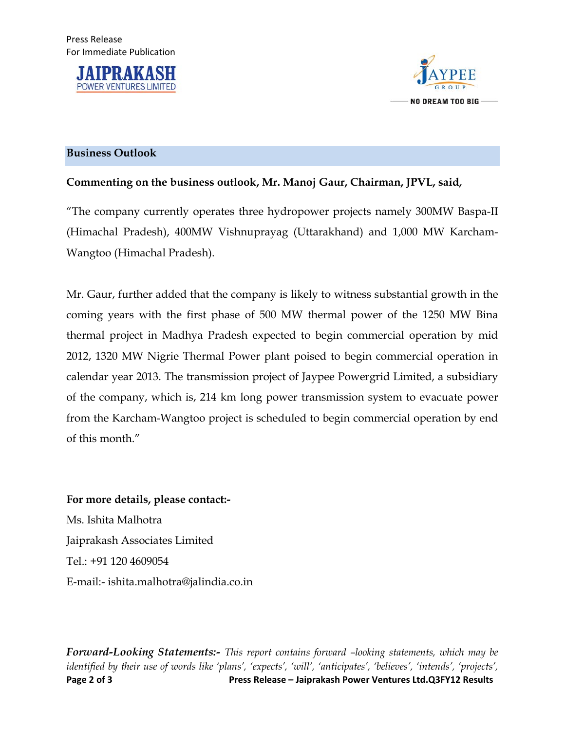



## **Business Outlook**

## **Commenting on the business outlook, Mr. Manoj Gaur, Chairman, JPVL, said,**

"The company currently operates three hydropower projects namely 300MW Baspa-II (Himachal Pradesh), 400MW Vishnuprayag (Uttarakhand) and 1,000 MW Karcham-Wangtoo (Himachal Pradesh).

Mr. Gaur, further added that the company is likely to witness substantial growth in the coming years with the first phase of 500 MW thermal power of the 1250 MW Bina thermal project in Madhya Pradesh expected to begin commercial operation by mid 2012, 1320 MW Nigrie Thermal Power plant poised to begin commercial operation in calendar year 2013. The transmission project of Jaypee Powergrid Limited, a subsidiary of the company, which is, 214 km long power transmission system to evacuate power from the Karcham-Wangtoo project is scheduled to begin commercial operation by end of this month."

**For more details, please contact:-**  Ms. Ishita Malhotra Jaiprakash Associates Limited Tel.: +91 120 4609054 E-mail:- ishita.malhotra@jalindia.co.in

**Page 2 of 3 Press Release – Jaiprakash Power Ventures Ltd.Q3FY12 Results** *Forward-Looking Statements:- This report contains forward –looking statements, which may be identified by their use of words like 'plans', 'expects', 'will', 'anticipates', 'believes', 'intends', 'projects',*